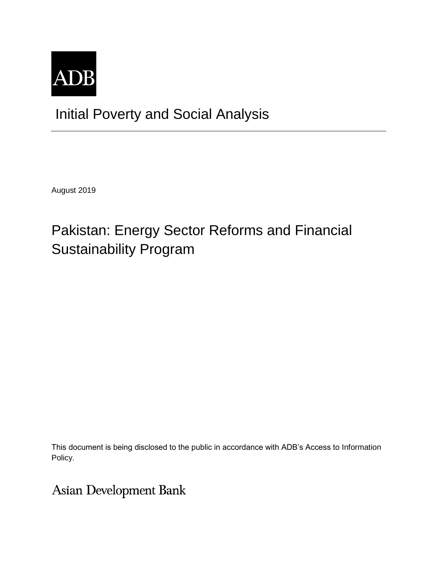

# Initial Poverty and Social Analysis

August 2019

# Pakistan: Energy Sector Reforms and Financial Sustainability Program

This document is being disclosed to the public in accordance with ADB's Access to Information Policy.

**Asian Development Bank**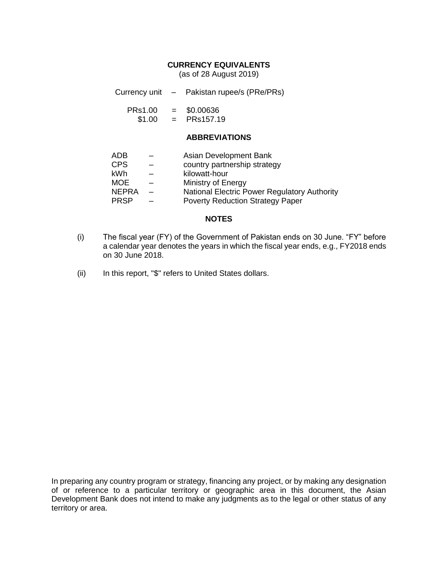## **CURRENCY EQUIVALENTS**

(as of 28 August 2019)

Currency unit – Pakistan rupee/s (PRe/PRs)

PRs1.00 = \$0.00636

 $$1.00 = PRs157.19$ 

## **ABBREVIATIONS**

- ADB Asian Development Bank
- CPS country partnership strategy
- kWh kilowatt-hour
- MOE Ministry of Energy
- NEPRA National Electric Power Regulatory Authority
- PRSP Poverty Reduction Strategy Paper

## **NOTES**

- (i) The fiscal year (FY) of the Government of Pakistan ends on 30 June. "FY" before a calendar year denotes the years in which the fiscal year ends, e.g., FY2018 ends on 30 June 2018.
- (ii) In this report, "\$" refers to United States dollars.

In preparing any country program or strategy, financing any project, or by making any designation of or reference to a particular territory or geographic area in this document, the Asian Development Bank does not intend to make any judgments as to the legal or other status of any territory or area.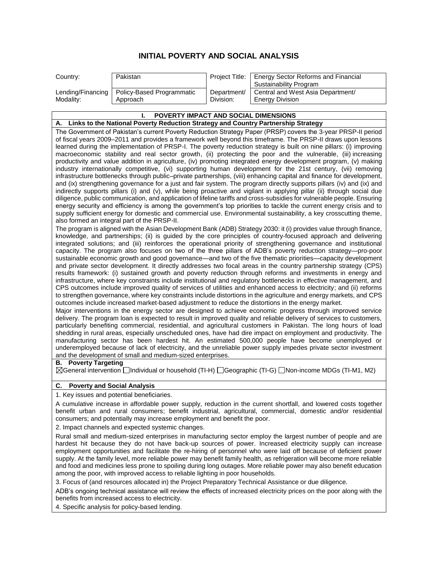## **INITIAL POVERTY AND SOCIAL ANALYSIS**

| Country:  | Pakistan                                      |             | Project Title:   Energy Sector Reforms and Financial<br>Sustainability Program |
|-----------|-----------------------------------------------|-------------|--------------------------------------------------------------------------------|
| Modality: | Lending/Financing   Policy-Based Programmatic | Department/ | Central and West Asia Department/                                              |
|           | Approach                                      | Division:   | <b>Energy Division</b>                                                         |

#### **I. POVERTY IMPACT AND SOCIAL DIMENSIONS A. Links to the National Poverty Reduction Strategy and Country Partnership Strategy** The Government of Pakistan's current Poverty Reduction Strategy Paper (PRSP) covers the 3-year PRSP-II period of fiscal years 2009–2011 and provides a framework well beyond this timeframe. The PRSP-II draws upon lessons learned during the implementation of PRSP-I. The poverty reduction strategy is built on nine pillars: (i) improving macroeconomic stability and real sector growth, (ii) protecting the poor and the vulnerable, (iii) increasing productivity and value addition in agriculture, (iv) promoting integrated energy development program, (v) making industry internationally competitive, (vi) supporting human development for the 21st century, (vii) removing infrastructure bottlenecks through public–private partnerships, (viii) enhancing capital and finance for development, and (ix) strengthening governance for a just and fair system. The program directly supports pillars (iv) and (ix) and indirectly supports pillars (i) and (v), while being proactive and vigilant in applying pillar (ii) through social due diligence, public communication, and application of lifeline tariffs and cross-subsidies for vulnerable people. Ensuring energy security and efficiency is among the government's top priorities to tackle the current energy crisis and to supply sufficient energy for domestic and commercial use. Environmental sustainability, a key crosscutting theme, also formed an integral part of the PRSP-II. The program is aligned with the Asian Development Bank (ADB) Strategy 2030: it (i) provides value through finance, knowledge, and partnerships; (ii) is guided by the core principles of country-focused approach and delivering integrated solutions; and (iii) reinforces the operational priority of strengthening governance and institutional capacity. The program also focuses on two of the three pillars of ADB's poverty reduction strategy—pro-poor sustainable economic growth and good governance—and two of the five thematic priorities—capacity development and private sector development. It directly addresses two focal areas in the country partnership strategy (CPS) results framework: (i) sustained growth and poverty reduction through reforms and investments in energy and infrastructure, where key constraints include institutional and regulatory bottlenecks in effective management, and CPS outcomes include improved quality of services of utilities and enhanced access to electricity; and (ii) reforms to strengthen governance, where key constraints include distortions in the agriculture and energy markets, and CPS outcomes include increased market-based adjustment to reduce the distortions in the energy market. Major interventions in the energy sector are designed to achieve economic progress through improved service delivery. The program loan is expected to result in improved quality and reliable delivery of services to customers, particularly benefiting commercial, residential, and agricultural customers in Pakistan. The long hours of load shedding in rural areas, especially unscheduled ones, have had dire impact on employment and productivity. The manufacturing sector has been hardest hit. An estimated 500,000 people have become unemployed or underemployed because of lack of electricity, and the unreliable power supply impedes private sector investment and the development of small and medium-sized enterprises.

### **B. Poverty Targeting**

General intervention Individual or household (TI-H) Geographic (TI-G) Non-income MDGs (TI-M1, M2)

#### **C. Poverty and Social Analysis**

1. Key issues and potential beneficiaries.

A cumulative increase in affordable power supply, reduction in the current shortfall, and lowered costs together benefit urban and rural consumers; benefit industrial, agricultural, commercial, domestic and/or residential consumers; and potentially may increase employment and benefit the poor.

2. Impact channels and expected systemic changes.

Rural small and medium-sized enterprises in manufacturing sector employ the largest number of people and are hardest hit because they do not have back-up sources of power. Increased electricity supply can increase employment opportunities and facilitate the re-hiring of personnel who were laid off because of deficient power supply. At the family level, more reliable power may benefit family health, as refrigeration will become more reliable and food and medicines less prone to spoiling during long outages. More reliable power may also benefit education among the poor, with improved access to reliable lighting in poor households.

3. Focus of (and resources allocated in) the Project Preparatory Technical Assistance or due diligence.

ADB's ongoing technical assistance will review the effects of increased electricity prices on the poor along with the benefits from increased access to electricity.

4. Specific analysis for policy-based lending.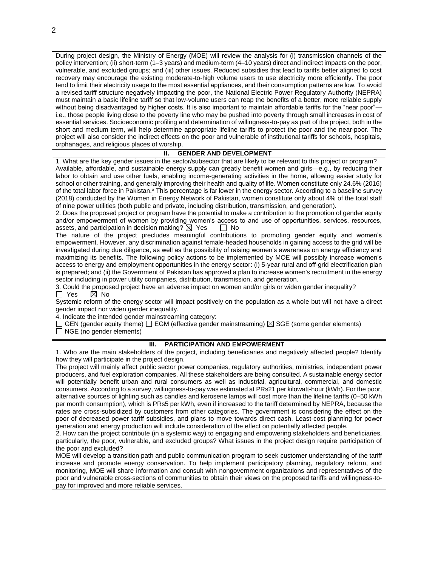During project design, the Ministry of Energy (MOE) will review the analysis for (i) transmission channels of the policy intervention; (ii) short-term (1–3 years) and medium-term (4–10 years) direct and indirect impacts on the poor, vulnerable, and excluded groups; and (iii) other issues. Reduced subsidies that lead to tariffs better aligned to cost recovery may encourage the existing moderate-to-high volume users to use electricity more efficiently. The poor tend to limit their electricity usage to the most essential appliances, and their consumption patterns are low. To avoid a revised tariff structure negatively impacting the poor, the National Electric Power Regulatory Authority (NEPRA) must maintain a basic lifeline tariff so that low-volume users can reap the benefits of a better, more reliable supply without being disadvantaged by higher costs. It is also important to maintain affordable tariffs for the "near poor" i.e., those people living close to the poverty line who may be pushed into poverty through small increases in cost of essential services. Socioeconomic profiling and determination of willingness-to-pay as part of the project, both in the short and medium term, will help determine appropriate lifeline tariffs to protect the poor and the near-poor. The project will also consider the indirect effects on the poor and vulnerable of institutional tariffs for schools, hospitals, orphanages, and religious places of worship.

#### **II. GENDER AND DEVELOPMENT**

1. What are the key gender issues in the sector/subsector that are likely to be relevant to this project or program? Available, affordable, and sustainable energy supply can greatly benefit women and girls—e.g., by reducing their labor to obtain and use other fuels, enabling income-generating activities in the home, allowing easier study for school or other training, and generally improving their health and quality of life. Women constitute only 24.6% (2016) of the total labor force in Pakistan.<sup>a</sup> This percentage is far lower in the energy sector. According to a baseline survey (2018) conducted by the Women in Energy Network of Pakistan, women constitute only about 4% of the total staff of nine power utilities (both public and private, including distribution, transmission, and generation).

2. Does the proposed project or program have the potential to make a contribution to the promotion of gender equity and/or empowerment of women by providing women's access to and use of opportunities, services, resources, assets, and participation in decision making?  $\boxtimes$  Yes  $\Box$  No

The nature of the project precludes meaningful contributions to promoting gender equity and women's empowerment. However, any discrimination against female-headed households in gaining access to the grid will be investigated during due diligence, as well as the possibility of raising women's awareness on energy efficiency and maximizing its benefits. The following policy actions to be implemented by MOE will possibly increase women's access to energy and employment opportunities in the energy sector: (i) 5-year rural and off-grid electrification plan is prepared; and (ii) the Government of Pakistan has approved a plan to increase women's recruitment in the energy sector including in power utility companies, distribution, transmission, and generation.

3. Could the proposed project have an adverse impact on women and/or girls or widen gender inequality?<br>  $\Box$  Yes  $\Box$  No  $\boxtimes$  No

Systemic reform of the energy sector will impact positively on the population as a whole but will not have a direct gender impact nor widen gender inequality.

4. Indicate the intended gender mainstreaming category:

 $\Box$  GEN (gender equity theme)  $\Box$  EGM (effective gender mainstreaming)  $\boxtimes$  SGE (some gender elements)  $\Box$  NGE (no gender elements)

### **III. PARTICIPATION AND EMPOWERMENT**

1. Who are the main stakeholders of the project, including beneficiaries and negatively affected people? Identify how they will participate in the project design.

The project will mainly affect public sector power companies, regulatory authorities, ministries, independent power producers, and fuel exploration companies. All these stakeholders are being consulted. A sustainable energy sector will potentially benefit urban and rural consumers as well as industrial, agricultural, commercial, and domestic consumers. According to a survey, willingness-to-pay was estimated at PRs21 per kilowatt-hour (kWh). For the poor, alternative sources of lighting such as candles and kerosene lamps will cost more than the lifeline tariffs (0–50 kWh per month consumption), which is PRs5 per kWh, even if increased to the tariff determined by NEPRA, because the rates are cross-subsidized by customers from other categories. The government is considering the effect on the poor of decreased power tariff subsidies, and plans to move towards direct cash. Least-cost planning for power generation and energy production will include consideration of the effect on potentially affected people.

2. How can the project contribute (in a systemic way) to engaging and empowering stakeholders and beneficiaries, particularly, the poor, vulnerable, and excluded groups? What issues in the project design require participation of the poor and excluded?

MOE will develop a transition path and public communication program to seek customer understanding of the tariff increase and promote energy conservation. To help implement participatory planning, regulatory reform, and monitoring, MOE will share information and consult with nongovernment organizations and representatives of the poor and vulnerable cross-sections of communities to obtain their views on the proposed tariffs and willingness-topay for improved and more reliable services.